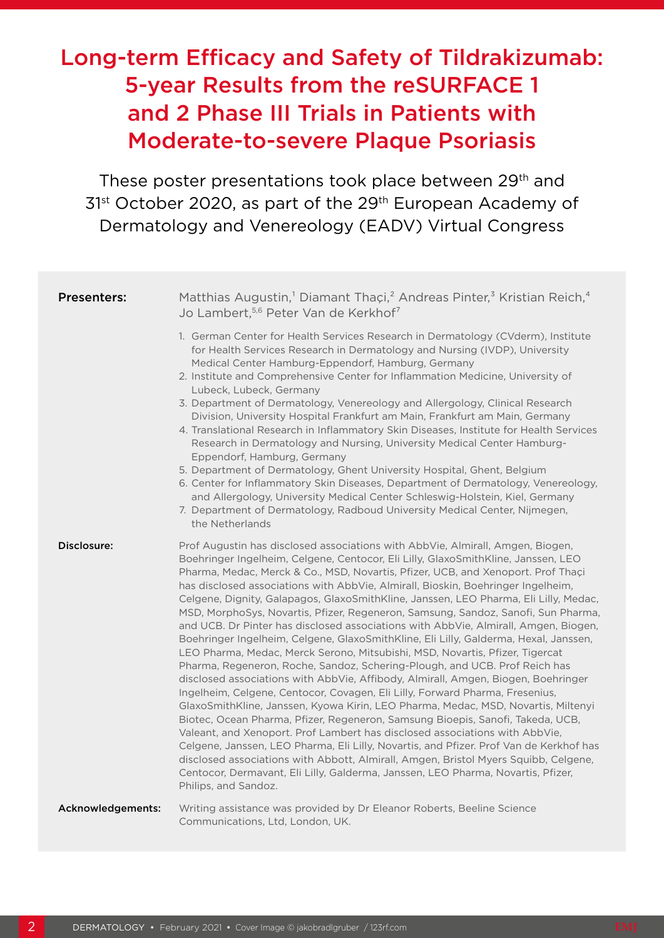# Long-term Efficacy and Safety of Tildrakizumab: 5-year Results from the reSURFACE 1 and 2 Phase III Trials in Patients with Moderate-to-severe Plaque Psoriasis

These poster presentations took place between 29<sup>th</sup> and 31<sup>st</sup> October 2020, as part of the 29<sup>th</sup> European Academy of Dermatology and Venereology (EADV) Virtual Congress

| <b>Presenters:</b> | Matthias Augustin, <sup>1</sup> Diamant Thaçi, <sup>2</sup> Andreas Pinter, <sup>3</sup> Kristian Reich, <sup>4</sup><br>Jo Lambert, <sup>5,6</sup> Peter Van de Kerkhof <sup>7</sup>                                                                                                                                                                                                                                                                                                                                                                                                                                                                                                                                                                                                                                                                                                                                                                                                                                                                                                                                                                                                                                                                                                                                                                                                                                                                                                                                                                                                         |  |  |  |
|--------------------|-----------------------------------------------------------------------------------------------------------------------------------------------------------------------------------------------------------------------------------------------------------------------------------------------------------------------------------------------------------------------------------------------------------------------------------------------------------------------------------------------------------------------------------------------------------------------------------------------------------------------------------------------------------------------------------------------------------------------------------------------------------------------------------------------------------------------------------------------------------------------------------------------------------------------------------------------------------------------------------------------------------------------------------------------------------------------------------------------------------------------------------------------------------------------------------------------------------------------------------------------------------------------------------------------------------------------------------------------------------------------------------------------------------------------------------------------------------------------------------------------------------------------------------------------------------------------------------------------|--|--|--|
|                    | 1. German Center for Health Services Research in Dermatology (CVderm), Institute<br>for Health Services Research in Dermatology and Nursing (IVDP), University<br>Medical Center Hamburg-Eppendorf, Hamburg, Germany<br>2. Institute and Comprehensive Center for Inflammation Medicine, University of<br>Lubeck, Lubeck, Germany<br>3. Department of Dermatology, Venereology and Allergology, Clinical Research<br>Division, University Hospital Frankfurt am Main, Frankfurt am Main, Germany<br>4. Translational Research in Inflammatory Skin Diseases, Institute for Health Services<br>Research in Dermatology and Nursing, University Medical Center Hamburg-<br>Eppendorf, Hamburg, Germany<br>5. Department of Dermatology, Ghent University Hospital, Ghent, Belgium<br>6. Center for Inflammatory Skin Diseases, Department of Dermatology, Venereology,<br>and Allergology, University Medical Center Schleswig-Holstein, Kiel, Germany<br>7. Department of Dermatology, Radboud University Medical Center, Nijmegen,<br>the Netherlands                                                                                                                                                                                                                                                                                                                                                                                                                                                                                                                                         |  |  |  |
| Disclosure:        | Prof Augustin has disclosed associations with AbbVie, Almirall, Amgen, Biogen,<br>Boehringer Ingelheim, Celgene, Centocor, Eli Lilly, GlaxoSmithKline, Janssen, LEO<br>Pharma, Medac, Merck & Co., MSD, Novartis, Pfizer, UCB, and Xenoport. Prof Thaçi<br>has disclosed associations with AbbVie, Almirall, Bioskin, Boehringer Ingelheim,<br>Celgene, Dignity, Galapagos, GlaxoSmithKline, Janssen, LEO Pharma, Eli Lilly, Medac,<br>MSD, MorphoSys, Novartis, Pfizer, Regeneron, Samsung, Sandoz, Sanofi, Sun Pharma,<br>and UCB. Dr Pinter has disclosed associations with AbbVie, Almirall, Amgen, Biogen,<br>Boehringer Ingelheim, Celgene, GlaxoSmithKline, Eli Lilly, Galderma, Hexal, Janssen,<br>LEO Pharma, Medac, Merck Serono, Mitsubishi, MSD, Novartis, Pfizer, Tigercat<br>Pharma, Regeneron, Roche, Sandoz, Schering-Plough, and UCB. Prof Reich has<br>disclosed associations with AbbVie, Affibody, Almirall, Amgen, Biogen, Boehringer<br>Ingelheim, Celgene, Centocor, Covagen, Eli Lilly, Forward Pharma, Fresenius,<br>GlaxoSmithKline, Janssen, Kyowa Kirin, LEO Pharma, Medac, MSD, Novartis, Miltenyi<br>Biotec, Ocean Pharma, Pfizer, Regeneron, Samsung Bioepis, Sanofi, Takeda, UCB,<br>Valeant, and Xenoport. Prof Lambert has disclosed associations with AbbVie,<br>Celgene, Janssen, LEO Pharma, Eli Lilly, Novartis, and Pfizer. Prof Van de Kerkhof has<br>disclosed associations with Abbott, Almirall, Amgen, Bristol Myers Squibb, Celgene,<br>Centocor, Dermavant, Eli Lilly, Galderma, Janssen, LEO Pharma, Novartis, Pfizer,<br>Philips, and Sandoz. |  |  |  |
| Acknowledgements:  | Writing assistance was provided by Dr Eleanor Roberts, Beeline Science<br>Communications, Ltd, London, UK.                                                                                                                                                                                                                                                                                                                                                                                                                                                                                                                                                                                                                                                                                                                                                                                                                                                                                                                                                                                                                                                                                                                                                                                                                                                                                                                                                                                                                                                                                    |  |  |  |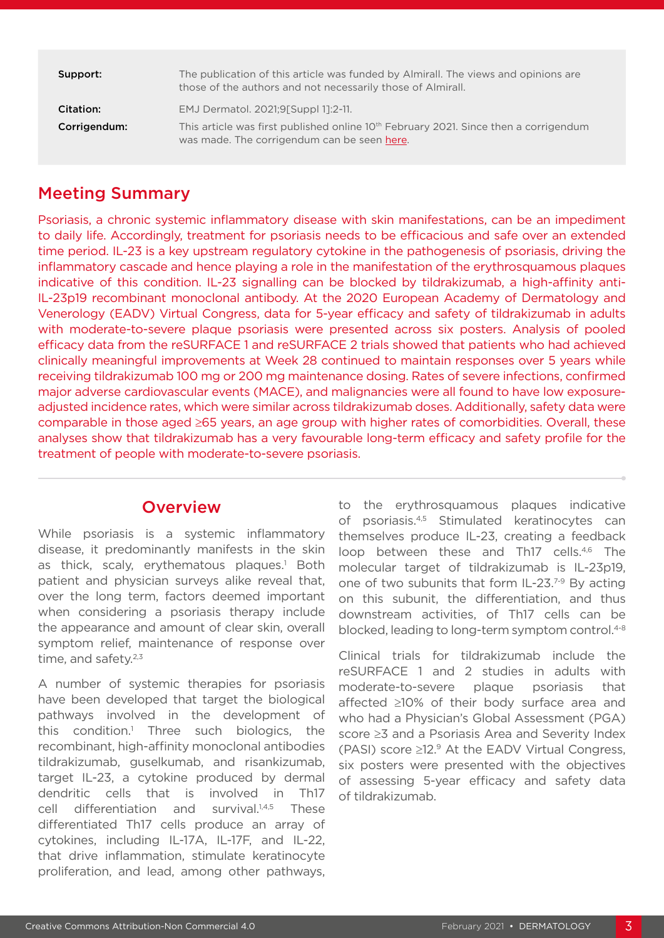| Support:                  | The publication of this article was funded by Almirall. The views and opinions are<br>those of the authors and not necessarily those of Almirall.                            |  |  |
|---------------------------|------------------------------------------------------------------------------------------------------------------------------------------------------------------------------|--|--|
| Citation:<br>Corrigendum: | EMJ Dermatol. 2021;9[Suppl 1]:2-11.<br>This article was first published online $10th$ February 2021. Since then a corrigendum<br>was made. The corrigendum can be seen here. |  |  |

### Meeting Summary

Psoriasis, a chronic systemic inflammatory disease with skin manifestations, can be an impediment to daily life. Accordingly, treatment for psoriasis needs to be efficacious and safe over an extended time period. IL-23 is a key upstream regulatory cytokine in the pathogenesis of psoriasis, driving the inflammatory cascade and hence playing a role in the manifestation of the erythrosquamous plaques indicative of this condition. IL-23 signalling can be blocked by tildrakizumab, a high-affinity anti-IL-23p19 recombinant monoclonal antibody. At the 2020 European Academy of Dermatology and Venerology (EADV) Virtual Congress, data for 5-year efficacy and safety of tildrakizumab in adults with moderate-to-severe plaque psoriasis were presented across six posters. Analysis of pooled efficacy data from the reSURFACE 1 and reSURFACE 2 trials showed that patients who had achieved clinically meaningful improvements at Week 28 continued to maintain responses over 5 years while receiving tildrakizumab 100 mg or 200 mg maintenance dosing. Rates of severe infections, confirmed major adverse cardiovascular events (MACE), and malignancies were all found to have low exposureadjusted incidence rates, which were similar across tildrakizumab doses. Additionally, safety data were comparable in those aged ≥65 years, an age group with higher rates of comorbidities. Overall, these analyses show that tildrakizumab has a very favourable long-term efficacy and safety profile for the treatment of people with moderate-to-severe psoriasis.

#### **Overview**

While psoriasis is a systemic inflammatory disease, it predominantly manifests in the skin as thick, scaly, erythematous plaques.<sup>1</sup> Both patient and physician surveys alike reveal that, over the long term, factors deemed important when considering a psoriasis therapy include the appearance and amount of clear skin, overall symptom relief, maintenance of response over time, and safety. $2,3$ 

A number of systemic therapies for psoriasis have been developed that target the biological pathways involved in the development of this condition.1 Three such biologics, the recombinant, high-affinity monoclonal antibodies tildrakizumab, guselkumab, and risankizumab, target IL-23, a cytokine produced by dermal dendritic cells that is involved in Th17 cell differentiation and survival.<sup>1,4,5</sup> These differentiated Th17 cells produce an array of cytokines, including IL-17A, IL-17F, and IL-22, that drive inflammation, stimulate keratinocyte proliferation, and lead, among other pathways,

to the erythrosquamous plaques indicative of psoriasis.4,5 Stimulated keratinocytes can themselves produce IL-23, creating a feedback loop between these and Th17 cells.<sup>4,6</sup> The molecular target of tildrakizumab is IL-23p19, one of two subunits that form IL-23.7-9 By acting on this subunit, the differentiation, and thus downstream activities, of Th17 cells can be blocked, leading to long-term symptom control.<sup>4-8</sup>

Clinical trials for tildrakizumab include the reSURFACE 1 and 2 studies in adults with moderate-to-severe plaque psoriasis that affected ≥10% of their body surface area and who had a Physician's Global Assessment (PGA) score ≥3 and a Psoriasis Area and Severity Index (PASI) score ≥12.9 At the EADV Virtual Congress, six posters were presented with the objectives of assessing 5-year efficacy and safety data of tildrakizumab.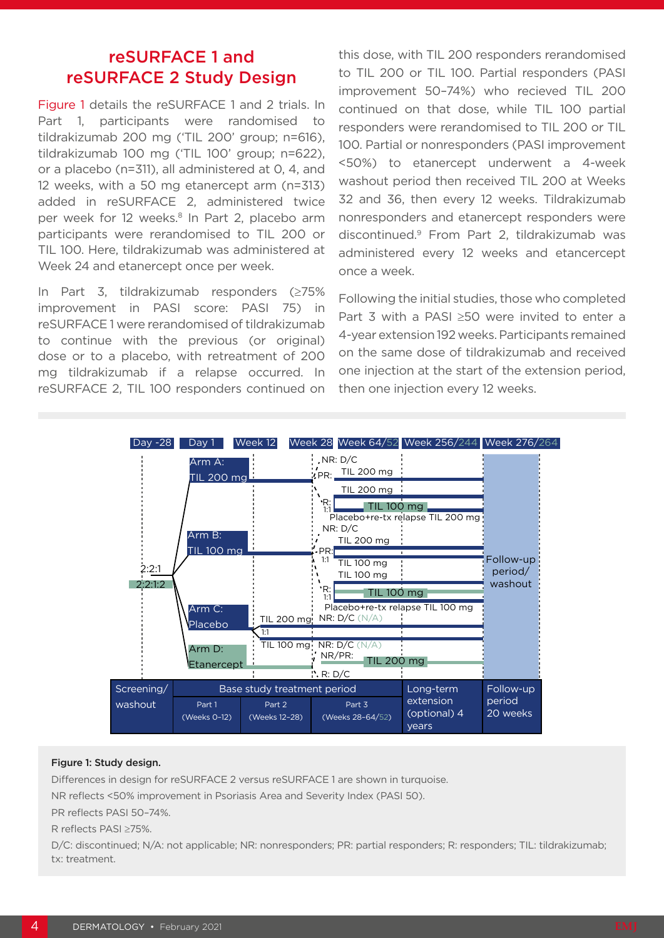### reSURFACE 1 and reSURFACE 2 Study Design

Figure 1 details the reSURFACE 1 and 2 trials. In Part 1, participants were randomised to tildrakizumab 200 mg ('TIL 200' group; n=616), tildrakizumab 100 mg ('TIL 100' group; n=622), or a placebo (n=311), all administered at 0, 4, and 12 weeks, with a 50 mg etanercept arm (n=313) added in reSURFACE 2, administered twice per week for 12 weeks.<sup>8</sup> In Part 2, placebo arm participants were rerandomised to TIL 200 or TIL 100. Here, tildrakizumab was administered at Week 24 and etanercept once per week.

In Part 3, tildrakizumab responders (≥75% improvement in PASI score: PASI 75) in reSURFACE 1 were rerandomised of tildrakizumab to continue with the previous (or original) dose or to a placebo, with retreatment of 200 mg tildrakizumab if a relapse occurred. In reSURFACE 2, TIL 100 responders continued on this dose, with TIL 200 responders rerandomised to TIL 200 or TIL 100. Partial responders (PASI improvement 50–74%) who recieved TIL 200 continued on that dose, while TIL 100 partial responders were rerandomised to TIL 200 or TIL 100. Partial or nonresponders (PASI improvement <50%) to etanercept underwent a 4-week washout period then received TIL 200 at Weeks 32 and 36, then every 12 weeks. Tildrakizumab nonresponders and etanercept responders were discontinued.9 From Part 2, tildrakizumab was administered every 12 weeks and etancercept once a week.

Following the initial studies, those who completed Part 3 with a PASI ≥50 were invited to enter a 4-year extension 192 weeks. Participants remained on the same dose of tildrakizumab and received one injection at the start of the extension period, then one injection every 12 weeks.



#### Figure 1: Study design.

Differences in design for reSURFACE 2 versus reSURFACE 1 are shown in turquoise.

NR reflects <50% improvement in Psoriasis Area and Severity Index (PASI 50).

PR reflects PASI 50–74%.

R reflects PASI ≥75%.

D/C: discontinued; N/A: not applicable; NR: nonresponders; PR: partial responders; R: responders; TIL: tildrakizumab; tx: treatment.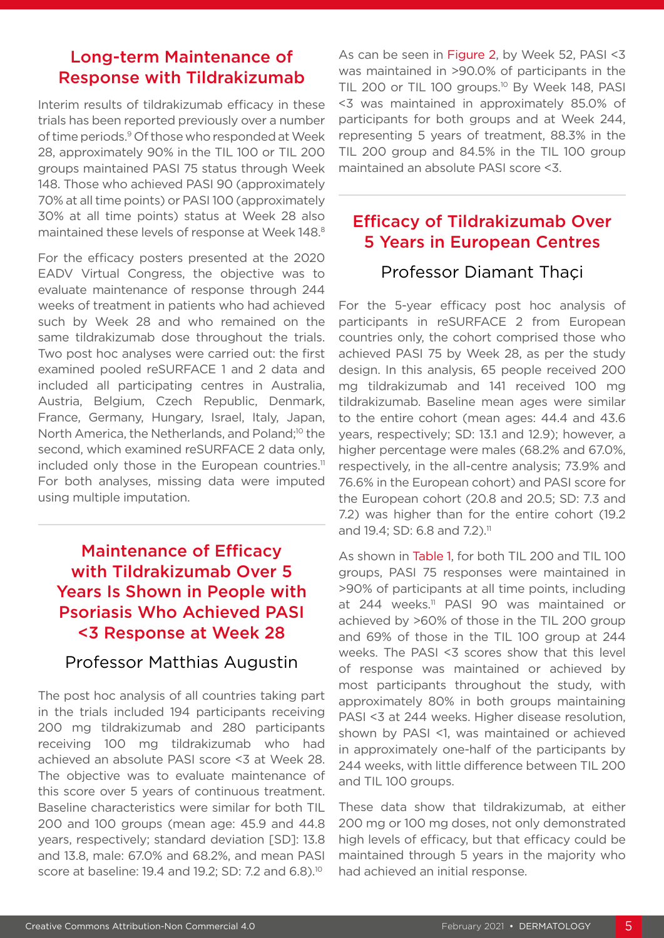#### Long-term Maintenance of Response with Tildrakizumab

Interim results of tildrakizumab efficacy in these trials has been reported previously over a number of time periods.9 Of those who responded at Week 28, approximately 90% in the TIL 100 or TIL 200 groups maintained PASI 75 status through Week 148. Those who achieved PASI 90 (approximately 70% at all time points) or PASI 100 (approximately 30% at all time points) status at Week 28 also maintained these levels of response at Week 148.8

For the efficacy posters presented at the 2020 EADV Virtual Congress, the objective was to evaluate maintenance of response through 244 weeks of treatment in patients who had achieved such by Week 28 and who remained on the same tildrakizumab dose throughout the trials. Two post hoc analyses were carried out: the first examined pooled reSURFACE 1 and 2 data and included all participating centres in Australia, Austria, Belgium, Czech Republic, Denmark, France, Germany, Hungary, Israel, Italy, Japan, North America, the Netherlands, and Poland;<sup>10</sup> the second, which examined reSURFACE 2 data only, included only those in the European countries.<sup>11</sup> For both analyses, missing data were imputed using multiple imputation.

# Maintenance of Efficacy with Tildrakizumab Over 5 Years Is Shown in People with Psoriasis Who Achieved PASI <3 Response at Week 28

#### Professor Matthias Augustin

The post hoc analysis of all countries taking part in the trials included 194 participants receiving 200 mg tildrakizumab and 280 participants receiving 100 mg tildrakizumab who had achieved an absolute PASI score <3 at Week 28. The objective was to evaluate maintenance of this score over 5 years of continuous treatment. Baseline characteristics were similar for both TIL 200 and 100 groups (mean age: 45.9 and 44.8 years, respectively; standard deviation [SD]: 13.8 and 13.8, male: 67.0% and 68.2%, and mean PASI score at baseline: 19.4 and 19.2; SD: 7.2 and 6.8).<sup>10</sup>

As can be seen in Figure 2, by Week 52, PASI <3 was maintained in >90.0% of participants in the TIL 200 or TIL 100 groups.<sup>10</sup> By Week 148, PASI <3 was maintained in approximately 85.0% of participants for both groups and at Week 244, representing 5 years of treatment, 88.3% in the TIL 200 group and 84.5% in the TIL 100 group maintained an absolute PASI score <3.

# Efficacy of Tildrakizumab Over 5 Years in European Centres

### Professor Diamant Thaçi

For the 5-year efficacy post hoc analysis of participants in reSURFACE 2 from European countries only, the cohort comprised those who achieved PASI 75 by Week 28, as per the study design. In this analysis, 65 people received 200 mg tildrakizumab and 141 received 100 mg tildrakizumab. Baseline mean ages were similar to the entire cohort (mean ages: 44.4 and 43.6 years, respectively; SD: 13.1 and 12.9); however, a higher percentage were males (68.2% and 67.0%, respectively, in the all-centre analysis; 73.9% and 76.6% in the European cohort) and PASI score for the European cohort (20.8 and 20.5; SD: 7.3 and 7.2) was higher than for the entire cohort (19.2 and 19.4; SD: 6.8 and 7.2).<sup>11</sup>

As shown in Table 1, for both TIL 200 and TIL 100 groups, PASI 75 responses were maintained in >90% of participants at all time points, including at 244 weeks.<sup>11</sup> PASI 90 was maintained or achieved by >60% of those in the TIL 200 group and 69% of those in the TIL 100 group at 244 weeks. The PASI <3 scores show that this level of response was maintained or achieved by most participants throughout the study, with approximately 80% in both groups maintaining PASI <3 at 244 weeks. Higher disease resolution, shown by PASI <1, was maintained or achieved in approximately one-half of the participants by 244 weeks, with little difference between TIL 200 and TIL 100 groups.

These data show that tildrakizumab, at either 200 mg or 100 mg doses, not only demonstrated high levels of efficacy, but that efficacy could be maintained through 5 years in the majority who had achieved an initial response.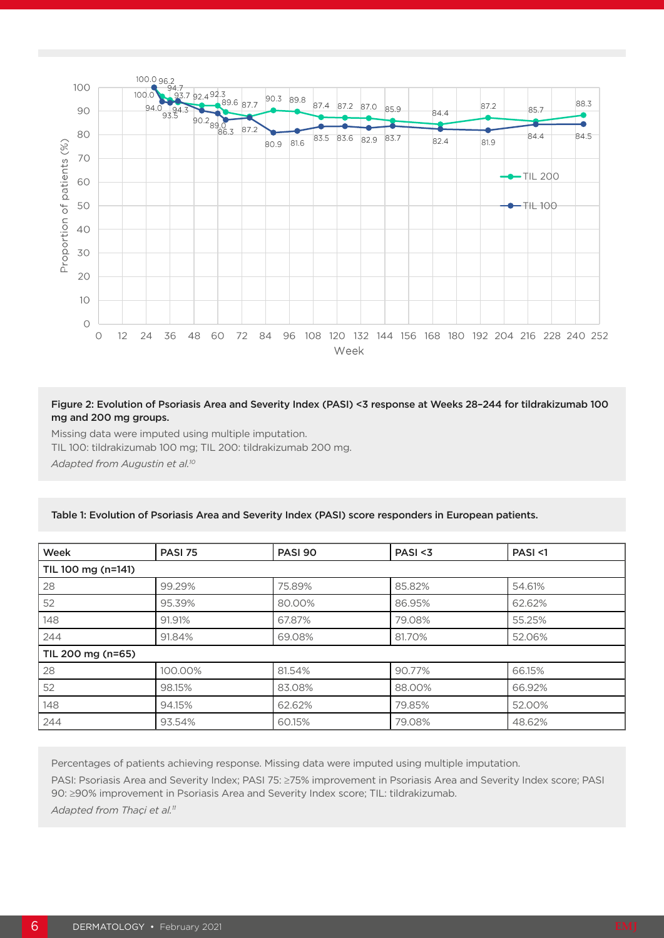

#### Figure 2: Evolution of Psoriasis Area and Severity Index (PASI) <3 response at Weeks 28–244 for tildrakizumab 100 mg and 200 mg groups.

Missing data were imputed using multiple imputation.

TIL 100: tildrakizumab 100 mg; TIL 200: tildrakizumab 200 mg.

*Adapted from Augustin et al.10*

| Week               | <b>PASI 75</b> | <b>PASI 90</b> | PASI < 3 | PASI < 1 |  |  |
|--------------------|----------------|----------------|----------|----------|--|--|
| TIL 100 mg (n=141) |                |                |          |          |  |  |
| 28                 | 99.29%         | 75.89%         | 85.82%   | 54.61%   |  |  |
| 52                 | 95.39%         | 80.00%         | 86.95%   | 62.62%   |  |  |
| 148                | 91.91%         | 67.87%         | 79.08%   | 55.25%   |  |  |
| 244                | 91.84%         | 69.08%         | 81.70%   | 52.06%   |  |  |
| TIL 200 mg (n=65)  |                |                |          |          |  |  |
| 28                 | 100.00%        | 81.54%         | 90.77%   | 66.15%   |  |  |
| 52                 | 98.15%         | 83.08%         | 88,00%   | 66.92%   |  |  |
| 148                | 94.15%         | 62.62%         | 79.85%   | 52.00%   |  |  |
| 244                | 93.54%         | 60.15%         | 79.08%   | 48.62%   |  |  |

#### Table 1: Evolution of Psoriasis Area and Severity Index (PASI) score responders in European patients.

Percentages of patients achieving response. Missing data were imputed using multiple imputation. PASI: Psoriasis Area and Severity Index; PASI 75: ≥75% improvement in Psoriasis Area and Severity Index score; PASI 90: ≥90% improvement in Psoriasis Area and Severity Index score; TIL: tildrakizumab.

Adapted from Thaçi et al.<sup>11</sup>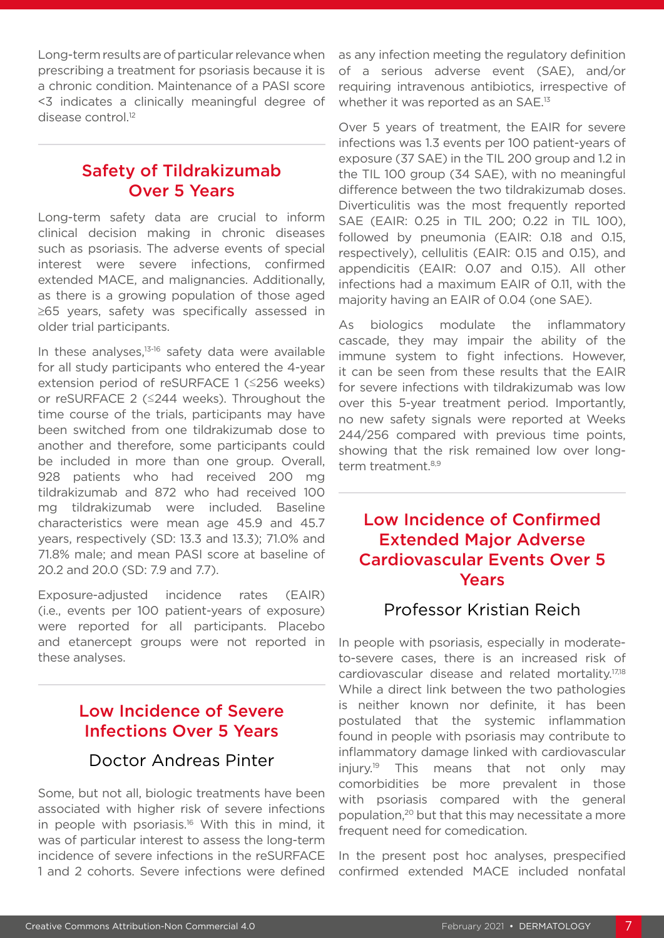Long-term results are of particular relevance when prescribing a treatment for psoriasis because it is a chronic condition. Maintenance of a PASI score <3 indicates a clinically meaningful degree of disease control.12

# Safety of Tildrakizumab Over 5 Years

Long-term safety data are crucial to inform clinical decision making in chronic diseases such as psoriasis. The adverse events of special interest were severe infections, confirmed extended MACE, and malignancies. Additionally, as there is a growing population of those aged ≥65 years, safety was specifically assessed in older trial participants.

In these analyses.<sup>13-16</sup> safety data were available for all study participants who entered the 4-year extension period of reSURFACE 1 (≤256 weeks) or reSURFACE 2 (≤244 weeks). Throughout the time course of the trials, participants may have been switched from one tildrakizumab dose to another and therefore, some participants could be included in more than one group. Overall, 928 patients who had received 200 mg tildrakizumab and 872 who had received 100 mg tildrakizumab were included. Baseline characteristics were mean age 45.9 and 45.7 years, respectively (SD: 13.3 and 13.3); 71.0% and 71.8% male; and mean PASI score at baseline of 20.2 and 20.0 (SD: 7.9 and 7.7).

Exposure-adjusted incidence rates (EAIR) (i.e., events per 100 patient-years of exposure) were reported for all participants. Placebo and etanercept groups were not reported in these analyses.

# Low Incidence of Severe Infections Over 5 Years

### Doctor Andreas Pinter

Some, but not all, biologic treatments have been associated with higher risk of severe infections in people with psoriasis.16 With this in mind, it was of particular interest to assess the long-term incidence of severe infections in the reSURFACE 1 and 2 cohorts. Severe infections were defined

as any infection meeting the regulatory definition of a serious adverse event (SAE), and/or requiring intravenous antibiotics, irrespective of whether it was reported as an SAE.<sup>13</sup>

Over 5 years of treatment, the EAIR for severe infections was 1.3 events per 100 patient-years of exposure (37 SAE) in the TIL 200 group and 1.2 in the TIL 100 group (34 SAE), with no meaningful difference between the two tildrakizumab doses. Diverticulitis was the most frequently reported SAE (EAIR: 0.25 in TIL 200; 0.22 in TIL 100), followed by pneumonia (EAIR: 0.18 and 0.15, respectively), cellulitis (EAIR: 0.15 and 0.15), and appendicitis (EAIR: 0.07 and 0.15). All other infections had a maximum EAIR of 0.11, with the majority having an EAIR of 0.04 (one SAE).

As biologics modulate the inflammatory cascade, they may impair the ability of the immune system to fight infections. However, it can be seen from these results that the EAIR for severe infections with tildrakizumab was low over this 5-year treatment period. Importantly, no new safety signals were reported at Weeks 244/256 compared with previous time points, showing that the risk remained low over longterm treatment.<sup>8,9</sup>

# Low Incidence of Confirmed Extended Major Adverse Cardiovascular Events Over 5 Years

### Professor Kristian Reich

In people with psoriasis, especially in moderateto-severe cases, there is an increased risk of cardiovascular disease and related mortality.<sup>17,18</sup> While a direct link between the two pathologies is neither known nor definite, it has been postulated that the systemic inflammation found in people with psoriasis may contribute to inflammatory damage linked with cardiovascular injury.<sup>19</sup> This means that not only may comorbidities be more prevalent in those with psoriasis compared with the general population,20 but that this may necessitate a more frequent need for comedication.

In the present post hoc analyses, prespecified confirmed extended MACE included nonfatal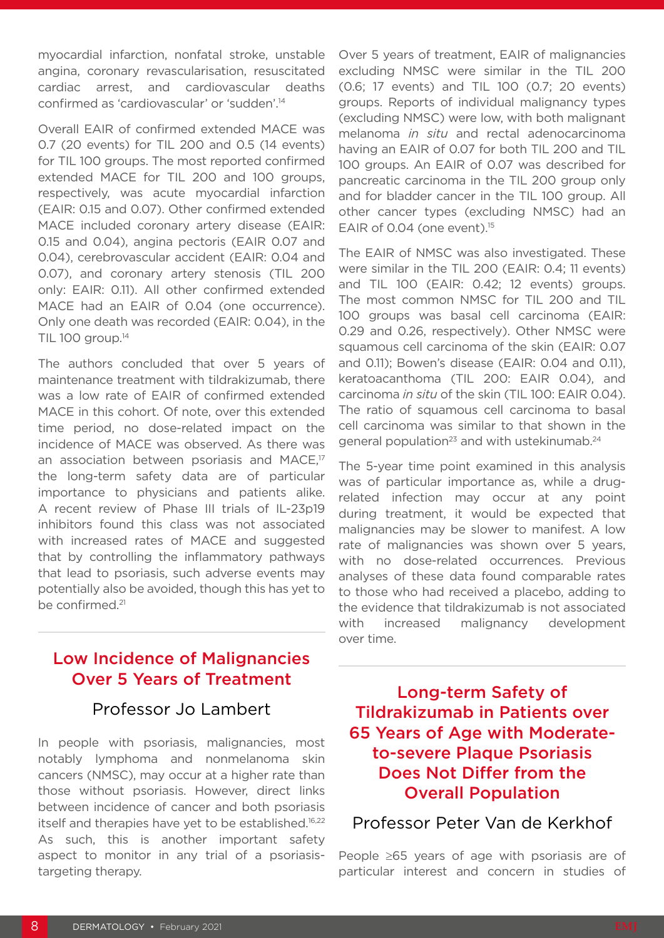myocardial infarction, nonfatal stroke, unstable angina, coronary revascularisation, resuscitated cardiac arrest, and cardiovascular deaths confirmed as 'cardiovascular' or 'sudden'.14

Overall EAIR of confirmed extended MACE was 0.7 (20 events) for TIL 200 and 0.5 (14 events) for TIL 100 groups. The most reported confirmed extended MACE for TIL 200 and 100 groups, respectively, was acute myocardial infarction (EAIR: 0.15 and 0.07). Other confirmed extended MACE included coronary artery disease (EAIR: 0.15 and 0.04), angina pectoris (EAIR 0.07 and 0.04), cerebrovascular accident (EAIR: 0.04 and 0.07), and coronary artery stenosis (TIL 200 only: EAIR: 0.11). All other confirmed extended MACE had an EAIR of 0.04 (one occurrence). Only one death was recorded (EAIR: 0.04), in the TIL 100 group.<sup>14</sup>

The authors concluded that over 5 years of maintenance treatment with tildrakizumab, there was a low rate of EAIR of confirmed extended MACE in this cohort. Of note, over this extended time period, no dose-related impact on the incidence of MACE was observed. As there was an association between psoriasis and MACE.<sup>17</sup> the long-term safety data are of particular importance to physicians and patients alike. A recent review of Phase III trials of IL-23p19 inhibitors found this class was not associated with increased rates of MACE and suggested that by controlling the inflammatory pathways that lead to psoriasis, such adverse events may potentially also be avoided, though this has yet to be confirmed.21

### Low Incidence of Malignancies Over 5 Years of Treatment

#### Professor Jo Lambert

In people with psoriasis, malignancies, most notably lymphoma and nonmelanoma skin cancers (NMSC), may occur at a higher rate than those without psoriasis. However, direct links between incidence of cancer and both psoriasis itself and therapies have yet to be established.<sup>16,22</sup> As such, this is another important safety aspect to monitor in any trial of a psoriasistargeting therapy.

Over 5 years of treatment, EAIR of malignancies excluding NMSC were similar in the TIL 200 (0.6; 17 events) and TIL 100 (0.7; 20 events) groups. Reports of individual malignancy types (excluding NMSC) were low, with both malignant melanoma *in situ* and rectal adenocarcinoma having an EAIR of 0.07 for both TIL 200 and TIL 100 groups. An EAIR of 0.07 was described for pancreatic carcinoma in the TIL 200 group only and for bladder cancer in the TIL 100 group. All other cancer types (excluding NMSC) had an EAIR of 0.04 (one event). $15$ 

The EAIR of NMSC was also investigated. These were similar in the TIL 200 (EAIR: 0.4; 11 events) and TIL 100 (EAIR: 0.42; 12 events) groups. The most common NMSC for TIL 200 and TIL 100 groups was basal cell carcinoma (EAIR: 0.29 and 0.26, respectively). Other NMSC were squamous cell carcinoma of the skin (EAIR: 0.07 and 0.11); Bowen's disease (EAIR: 0.04 and 0.11), keratoacanthoma (TIL 200: EAIR 0.04), and carcinoma *in situ* of the skin (TIL 100: EAIR 0.04). The ratio of squamous cell carcinoma to basal cell carcinoma was similar to that shown in the general population<sup>23</sup> and with ustekinumab.<sup>24</sup>

The 5-year time point examined in this analysis was of particular importance as, while a drugrelated infection may occur at any point during treatment, it would be expected that malignancies may be slower to manifest. A low rate of malignancies was shown over 5 years, with no dose-related occurrences. Previous analyses of these data found comparable rates to those who had received a placebo, adding to the evidence that tildrakizumab is not associated with increased malignancy development over time.

Long-term Safety of Tildrakizumab in Patients over 65 Years of Age with Moderateto-severe Plaque Psoriasis Does Not Differ from the Overall Population

#### Professor Peter Van de Kerkhof

People ≥65 years of age with psoriasis are of particular interest and concern in studies of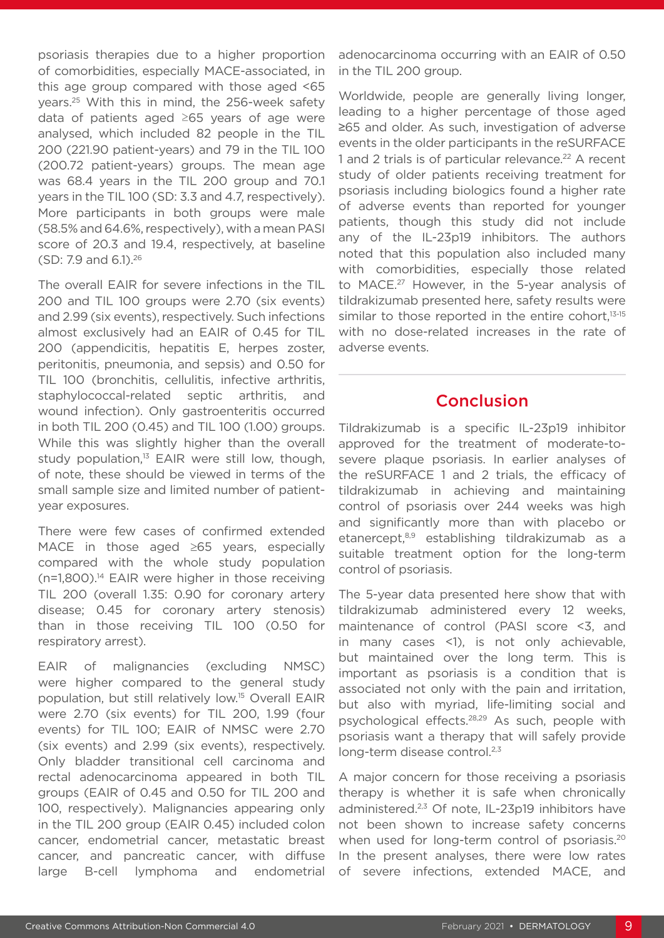psoriasis therapies due to a higher proportion of comorbidities, especially MACE-associated, in this age group compared with those aged <65 years.25 With this in mind, the 256-week safety data of patients aged ≥65 years of age were analysed, which included 82 people in the TIL 200 (221.90 patient-years) and 79 in the TIL 100 (200.72 patient-years) groups. The mean age was 68.4 years in the TIL 200 group and 70.1 years in the TIL 100 (SD: 3.3 and 4.7, respectively). More participants in both groups were male (58.5% and 64.6%, respectively), with a mean PASI score of 20.3 and 19.4, respectively, at baseline (SD: 7.9 and 6.1).26

The overall EAIR for severe infections in the TIL 200 and TIL 100 groups were 2.70 (six events) and 2.99 (six events), respectively. Such infections almost exclusively had an EAIR of 0.45 for TIL 200 (appendicitis, hepatitis E, herpes zoster, peritonitis, pneumonia, and sepsis) and 0.50 for TIL 100 (bronchitis, cellulitis, infective arthritis, staphylococcal-related septic arthritis, and wound infection). Only gastroenteritis occurred in both TIL 200 (0.45) and TIL 100 (1.00) groups. While this was slightly higher than the overall study population, $13$  EAIR were still low, though, of note, these should be viewed in terms of the small sample size and limited number of patientyear exposures.

There were few cases of confirmed extended MACE in those aged ≥65 years, especially compared with the whole study population (n=1,800).14 EAIR were higher in those receiving TIL 200 (overall 1.35: 0.90 for coronary artery disease; 0.45 for coronary artery stenosis) than in those receiving TIL 100 (0.50 for respiratory arrest).

EAIR of malignancies (excluding NMSC) were higher compared to the general study population, but still relatively low.15 Overall EAIR were 2.70 (six events) for TIL 200, 1.99 (four events) for TIL 100; EAIR of NMSC were 2.70 (six events) and 2.99 (six events), respectively. Only bladder transitional cell carcinoma and rectal adenocarcinoma appeared in both TIL groups (EAIR of 0.45 and 0.50 for TIL 200 and 100, respectively). Malignancies appearing only in the TIL 200 group (EAIR 0.45) included colon cancer, endometrial cancer, metastatic breast cancer, and pancreatic cancer, with diffuse large B-cell lymphoma and endometrial adenocarcinoma occurring with an EAIR of 0.50 in the TIL 200 group.

Worldwide, people are generally living longer, leading to a higher percentage of those aged ≥65 and older. As such, investigation of adverse events in the older participants in the reSURFACE 1 and 2 trials is of particular relevance.<sup>22</sup> A recent study of older patients receiving treatment for psoriasis including biologics found a higher rate of adverse events than reported for younger patients, though this study did not include any of the IL-23p19 inhibitors. The authors noted that this population also included many with comorbidities, especially those related to MACE.<sup>27</sup> However, in the 5-year analysis of tildrakizumab presented here, safety results were similar to those reported in the entire cohort, $13-15$ with no dose-related increases in the rate of adverse events.

#### Conclusion

Tildrakizumab is a specific IL-23p19 inhibitor approved for the treatment of moderate-tosevere plaque psoriasis. In earlier analyses of the reSURFACE 1 and 2 trials, the efficacy of tildrakizumab in achieving and maintaining control of psoriasis over 244 weeks was high and significantly more than with placebo or etanercept,8,9 establishing tildrakizumab as a suitable treatment option for the long-term control of psoriasis.

The 5-year data presented here show that with tildrakizumab administered every 12 weeks, maintenance of control (PASI score <3, and in many cases <1), is not only achievable, but maintained over the long term. This is important as psoriasis is a condition that is associated not only with the pain and irritation, but also with myriad, life-limiting social and psychological effects.28,29 As such, people with psoriasis want a therapy that will safely provide long-term disease control.<sup>2,3</sup>

A major concern for those receiving a psoriasis therapy is whether it is safe when chronically administered.<sup>2,3</sup> Of note, IL-23p19 inhibitors have not been shown to increase safety concerns when used for long-term control of psoriasis.<sup>20</sup> In the present analyses, there were low rates of severe infections, extended MACE, and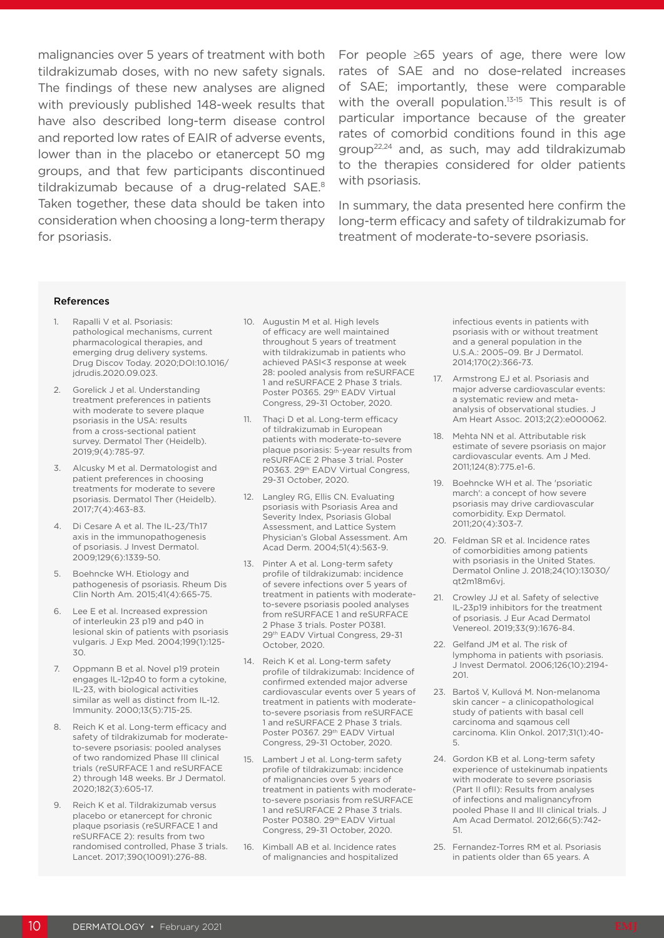tildrakizumab doses, with no new safety signals. The findings of these new analyses are aligned with previously published 148-week results that have also described long-term disease control and reported low rates of EAIR of adverse events, lower than in the placebo or etanercept 50 mg groups, and that few participants discontinued tildrakizumab because of a drug-related SAE.8 Taken together, these data should be taken into consideration when choosing a long-term therapy for psoriasis.

malignancies over 5 years of treatment with both For people ≥65 years of age, there were low rates of SAE and no dose-related increases of SAE; importantly, these were comparable with the overall population.<sup>13-15</sup> This result is of particular importance because of the greater rates of comorbid conditions found in this age group22,24 and, as such, may add tildrakizumab to the therapies considered for older patients with psoriasis.

> In summary, the data presented here confirm the long-term efficacy and safety of tildrakizumab for treatment of moderate-to-severe psoriasis.

#### References

- Rapalli V et al. Psoriasis: pathological mechanisms, current pharmacological therapies, and emerging drug delivery systems. Drug Discov Today. 2020;DOI:10.1016/ jdrudis.2020.09.023.
- 2. Gorelick J et al. Understanding treatment preferences in patients with moderate to severe plaque psoriasis in the USA: results from a cross-sectional patient survey. Dermatol Ther (Heidelb). 2019;9(4):785-97.
- 3. Alcusky M et al. Dermatologist and patient preferences in choosing treatments for moderate to severe psoriasis. Dermatol Ther (Heidelb). 2017;7(4):463-83.
- 4. Di Cesare A et al. The IL-23/Th17 axis in the immunopathogenesis of psoriasis. J Invest Dermatol. 2009;129(6):1339-50.
- 5. Boehncke WH. Etiology and pathogenesis of psoriasis. Rheum Dis Clin North Am. 2015;41(4):665-75.
- 6. Lee E et al. Increased expression of interleukin 23 p19 and p40 in lesional skin of patients with psoriasis vulgaris. J Exp Med. 2004;199(1):125- 30.
- 7. Oppmann B et al. Novel p19 protein engages IL-12p40 to form a cytokine, IL-23, with biological activities similar as well as distinct from IL-12. Immunity. 2000;13(5):715-25.
- 8. Reich K et al. Long-term efficacy and safety of tildrakizumab for moderateto-severe psoriasis: pooled analyses of two randomized Phase III clinical trials (reSURFACE 1 and reSURFACE 2) through 148 weeks. Br J Dermatol. 2020;182(3):605-17.
- 9. Reich K et al. Tildrakizumab versus placebo or etanercept for chronic plaque psoriasis (reSURFACE 1 and reSURFACE 2): results from two randomised controlled, Phase 3 trials. Lancet. 2017;390(10091):276-88.
- 10. Augustin M et al. High levels of efficacy are well maintained throughout 5 years of treatment with tildrakizumab in patients who achieved PASI<3 response at week 28: pooled analysis from reSURFACE 1 and reSURFACE 2 Phase 3 trials. Poster P0365. 29th EADV Virtual Congress, 29-31 October, 2020.
- 11. Thaçi D et al. Long-term efficacy of tildrakizumab in European patients with moderate-to-severe plaque psoriasis: 5-year results from reSURFACE 2 Phase 3 trial. Poster P0363. 29<sup>th</sup> EADV Virtual Congress, 29-31 October, 2020.
- 12. Langley RG, Ellis CN. Evaluating psoriasis with Psoriasis Area and Severity Index, Psoriasis Global Assessment, and Lattice System Physician's Global Assessment. Am Acad Derm. 2004;51(4):563-9.
- 13. Pinter A et al. Long-term safety profile of tildrakizumab: incidence of severe infections over 5 years of treatment in patients with moderateto-severe psoriasis pooled analyses from reSURFACE 1 and reSURFACE 2 Phase 3 trials. Poster P0381. 29th EADV Virtual Congress, 29-31 October, 2020.
- 14. Reich K et al. Long-term safety profile of tildrakizumab: Incidence of confirmed extended major adverse cardiovascular events over 5 years of treatment in patients with moderateto-severe psoriasis from reSURFACE 1 and reSURFACE 2 Phase 3 trials. Poster P0367. 29<sup>th</sup> EADV Virtual Congress, 29-31 October, 2020.
- 15. Lambert J et al. Long-term safety profile of tildrakizumab: incidence of malignancies over 5 years of treatment in patients with moderateto-severe psoriasis from reSURFACE 1 and reSURFACE 2 Phase 3 trials. Poster P0380. 29th EADV Virtual Congress, 29-31 October, 2020.
- 16. Kimball AB et al. Incidence rates of malignancies and hospitalized

infectious events in patients with psoriasis with or without treatment and a general population in the U.S.A.: 2005–09. Br J Dermatol. 2014;170(2):366-73.

- 17. Armstrong EJ et al. Psoriasis and major adverse cardiovascular events: a systematic review and metaanalysis of observational studies. J Am Heart Assoc. 2013;2(2):e000062.
- 18. Mehta NN et al. Attributable risk estimate of severe psoriasis on major cardiovascular events. Am J Med. 2011;124(8):775.e1-6.
- 19. Boehncke WH et al. The 'psoriatic march': a concept of how severe psoriasis may drive cardiovascular comorbidity. Exp Dermatol. 2011;20(4):303-7.
- 20. Feldman SR et al. Incidence rates of comorbidities among patients with psoriasis in the United States. Dermatol Online J. 2018;24(10):13030/ qt2m18m6vj.
- 21. Crowley JJ et al. Safety of selective IL-23p19 inhibitors for the treatment of psoriasis. J Eur Acad Dermatol Venereol. 2019;33(9):1676-84.
- 22. Gelfand JM et al. The risk of lymphoma in patients with psoriasis. J Invest Dermatol. 2006;126(10):2194- 201.
- 23. Bartoš V, Kullová M. Non-melanoma skin cancer – a clinicopathological study of patients with basal cell carcinoma and sqamous cell carcinoma. Klin Onkol. 2017;31(1):40- 5.
- 24. Gordon KB et al. Long-term safety experience of ustekinumab inpatients with moderate to severe psoriasis (Part II ofII): Results from analyses of infections and malignancyfrom pooled Phase II and III clinical trials. J Am Acad Dermatol. 2012;66(5):742- 51.
- 25. Fernandez-Torres RM et al. Psoriasis in patients older than 65 years. A